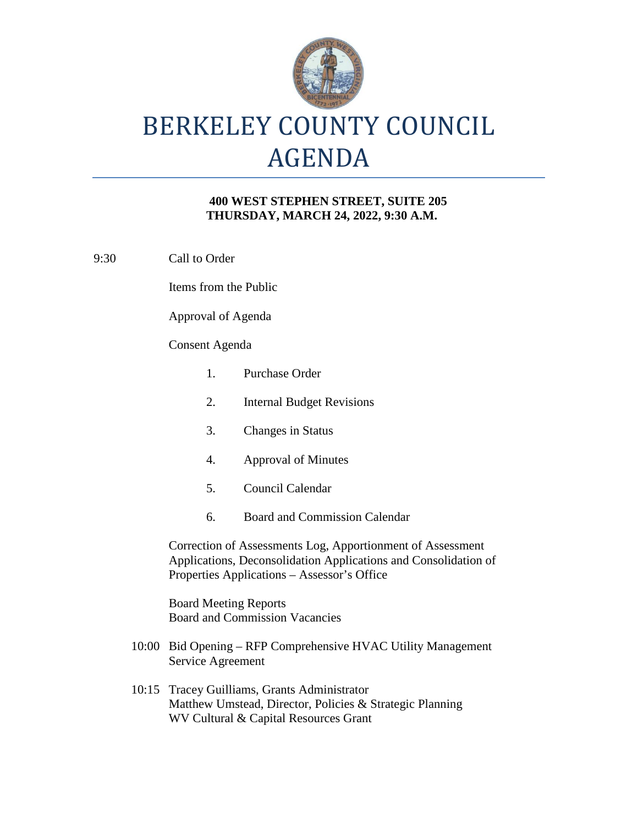

# BERKELEY COUNTY COUNCIL AGENDA

### **400 WEST STEPHEN STREET, SUITE 205 THURSDAY, MARCH 24, 2022, 9:30 A.M.**

9:30 Call to Order

Items from the Public

Approval of Agenda

### Consent Agenda

- 1. Purchase Order 2. Internal Budget Revisions 3. Changes in Status 4. Approval of Minutes 5. Council Calendar 6. Board and Commission Calendar Correction of Assessments Log, Apportionment of Assessment Applications, Deconsolidation Applications and Consolidation of Properties Applications – Assessor's Office Board Meeting Reports Board and Commission Vacancies 10:00 Bid Opening – RFP Comprehensive HVAC Utility Management Service Agreement
- 10:15 Tracey Guilliams, Grants Administrator Matthew Umstead, Director, Policies & Strategic Planning WV Cultural & Capital Resources Grant